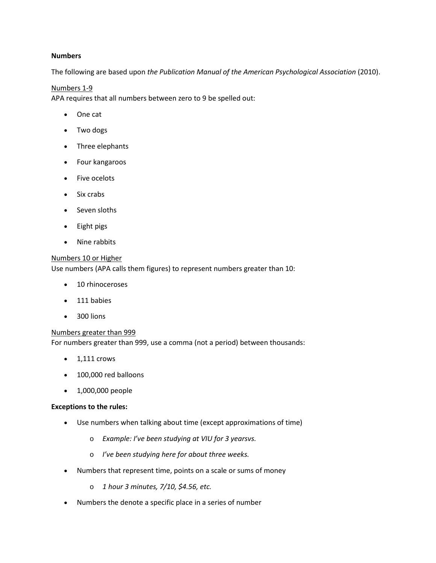## **Numbers**

The following are based upon *the Publication Manual of the American Psychological Association* (2010).

### Numbers 1-9

APA requires that all numbers between zero to 9 be spelled out:

- One cat
- Two dogs
- Three elephants
- Four kangaroos
- Five ocelots
- Six crabs
- Seven sloths
- Eight pigs
- Nine rabbits

# Numbers 10 or Higher

Use numbers (APA calls them figures) to represent numbers greater than 10:

- 10 rhinoceroses
- 111 babies
- 300 lions

### Numbers greater than 999

For numbers greater than 999, use a comma (not a period) between thousands:

- $\bullet$  1,111 crows
- 100,000 red balloons
- 1,000,000 people

### **Exceptions to the rules:**

- Use numbers when talking about time (except approximations of time)
	- o *Example: I've been studying at VIU for 3 yearsvs.*
	- o *I've been studying here for about three weeks.*
- Numbers that represent time, points on a scale or sums of money
	- o *1 hour 3 minutes, 7/10, \$4.56, etc.*
- Numbers the denote a specific place in a series of number